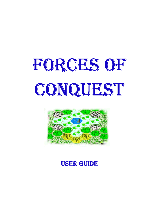



# **USER GUIDE**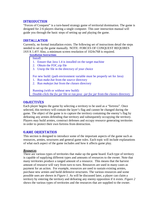## - 
-

"Forces of Conquest" is a turn-based strategy game of territorial domination. The game is designed for 2-6 players sharing a single computer. This user instruction manual will guide you through the basic steps of setting up and playing the game.

## --

Currently, no formal installation exists. The following set of instructions detail the steps needed to set up the game manually. NOTE: FORCES OF CONQUEST REQUIRES JAVA 1.4!!! Also, a minimum screen resolution of 1024x768 is required.

#### **Installation Instructions**

#### Install:

- 1. Ensure that Java 1.4 is installed on the target machine
- 2. Obtain the FOC.zip file
- 3. Unzip the file in the directory of your choice

For new build: (path environment variable must be properly set for Java)

- 1. Run *make.bat* from the *source* directory
- 2. Run *makejar.bat* from the *classes* directory

Running (with or without new build): Double-click the *foc.jar* file or run *java –jar foc.jar* from the *classes* directory

#### **OBJECTIVES**

Each player begins the game by selecting a territory to be used as a "fortress". Once selected, this territory will contain the layer's flag and cannot be changed during the game. The object of the game is to capture the territory containing the enemy's flag by defeating any armies defending that territory and subsequently occupying the territory. Players may build armies, construct defenses and occupy resource generating territories in order to protect their own fortress from destruction.

## ! "# -\$-

This section is designed to introduce some of the important aspects of the game such as resources, armies, structures and general game rules. Each topic will include explanations of what each aspect of the game includes and how it affects game play.

#### *Resources*

There are various types of territories that make up the game board. Each type of territory is capable of supplying different types and amounts of resources to the owner. Note that many territories produce a ranged amount of a resource. This means that the harvest amount of resource will vary from turn to turn. Resources are used in many cases as payment for an action. For example, resources are used to sustain existing armies, purchase new armies and build defensive structures. The various resources and some possible uses are shown in *Figure 1*. As will be discussed later, a player can claim a territory by entering the territory and defeating any enemy opposition if it exists. *Figure 2* shows the various types of territories and the resources that are supplied to the owner.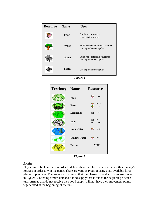| <b>Resource</b> | <b>Name</b>  | <b>Uses</b>                                                    |
|-----------------|--------------|----------------------------------------------------------------|
|                 | Food         | Purchase new armies<br>Feed existing armies                    |
|                 | <b>Wood</b>  | Build wooden defensive structures<br>Use to purchase catapults |
|                 | <b>Stone</b> | Build stone defensive structures<br>Use to purchase catapults  |
|                 | <b>Metal</b> | Use to purchase catapults                                      |

*Figure 1*



*Figure 2*

## *Armies*

Players must build armies in order to defend their own fortress and conquer their enemy's fortress in order to win the game. There are various types of army units available for a player to purchase. The various army units, their purchase cost and attributes are shown in *Figure 3.* Existing armies demand a food supply that is due at the beginning of each turn. Armies that do not receive their food supply will not have their movement points regenerated at the beginning of the turn.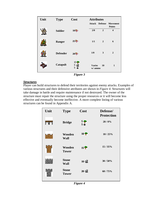| Unit | <b>Type</b>     | Cost                      | <b>Attributes</b>        |                |                           |
|------|-----------------|---------------------------|--------------------------|----------------|---------------------------|
|      |                 |                           | Attack                   | <b>Defense</b> | Movement<br><b>Points</b> |
|      | <b>Soldier</b>  | 10 <sup>5</sup>           | 2/0                      | $\overline{2}$ | $\overline{\mathbf{4}}$   |
|      | Ranger          | 25                        | 1/1                      | $\mathbf{2}$   | 6                         |
|      | <b>Defender</b> | 20                        | 1/0                      | 3              | $\overline{2}$            |
|      | Catapult        | 15 <sub>•</sub><br>5<br>5 | <b>Varies</b><br>w/ ammo | 10             | $\mathbf{1}$              |

*Figure 3*

#### *Structures*

Player can build structures to defend their territories against enemy attacks. Examples of various structures and their defensive attributes are shown in *Figure 4*. Structures will take damage in battle and require maintenance if not destroyed. The owner of the structure must repair the structure using the proper resources or it will become less effective and eventually become ineffective. A more complete listing of various structures can be found in Appendix A.

| Unit | <b>Type</b>                  | Cost            | Defense/<br><b>Protection</b> |
|------|------------------------------|-----------------|-------------------------------|
| # 留官 | <b>Bridge</b>                | $\frac{5}{5}$   | 20/0%                         |
|      | Wooden<br>Wall               | $10 \, \degree$ | 10/25%                        |
|      | Wooden<br><b>Tower</b>       | 15 <sup>o</sup> | 15/35%                        |
|      | <b>Stone</b><br><b>Wall</b>  | 10              | 30/50%                        |
|      | <b>Stone</b><br><b>Tower</b> | 20 <sub>5</sub> | 60/75%                        |

*Figure 4*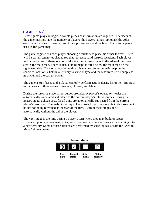# $GAME$   $PLAY$

Before game play can begin, a couple pieces of information are required. The users of the game must provide the number of players, the players names (optional), the color each player wishes to have represent their possessions, and the board that is to be played used as the game map.

The game begins with each player choosing a territory to place his or her fortress. There will be certain territories shaded red that represent valid fortress locations. Each player must choose one of these locations. Moving the mouse pointer to the edge of the screen scrolls the main map. There is also a "mini map" located below the main map on the right-hand side. Click on a location within this map to center the main map on the specified location. Click on a territory to view its type and the resources it will supply to its owner and the current owner.

The game is turn-based and a player can only perform actions during his or her turn. Each turn consists of three stages: Resource, Upkeep, and Main.

During the *resource* stage, all resources provided by player's owned territories are automatically calculated and added to the current player's total resources. During the *upkeep* stage, upkeep costs for all units are automatically subtracted from the current player's resources. The inability to pay upkeep costs for any unit results in its movement points not being refreshed at the start of the turn. Both of these stages occur automatically without the aid of the player.

The *main* stage is the time during a player's turn where they may build or repair structures, purchase new army units, and/or perform any unit actions such as moving into a new territory. Some of these actions are performed by selecting tasks from the "Action Menu" shown below.

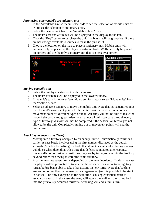## *Purchasing a new mobile or stationary unit*

- 1. In the "Available Units" menu, select 'M' to see the selection of mobile units or 'S' to see the selection of stationary units.
- 2. Select the desired unit from the "Available Units" menu.
- 3. The unit's cost and attributes will be displayed in the display to the left.
- 4. Click the "Buy" button to purchase the unit (the button will be grayed out if there are not enough available resources to make the purchase).
- 5. Choose the location on the map to place a stationary unit. Mobile units will automatically be placed at the player's fortress. Note: Walls can only be placed on borders and are the only stationary unit that can occupy a border.



## *Moving a mobile unit*

- 1. Select the unit by clicking on it with the mouse.
- 2. The unit's attributes will be displayed in the lower window.
- 3. If the unit's turn is not over (see info screen for status), select 'Move units' from the "Action Menu".
- 4. Select an adjacent territory to move the mobile unit. Note that movement requires use of a unit's movement points. Different territories cost different amounts of movement point for different types of units. An army will not be able to make the move if the cost is too great. Also note that not all units can pass through every type of territory. A move will not be completed if the destination territory is not allowed by the unit. Completely running out of movement points will end the unit's turn.

# *Attacking an enemy unit (Near)*

- 1. Moving into a territory occupied by an enemy unit will automatically result in a battle. A near battle involves using the first number displayed as the attack strength (Attack = Near/Ranged). Note that all units capable of inflicting damage will do so when defending. Also note that defense is an automatic response. Since walls do not reside in territories, they are by trying to pass into the territory beyond rather than trying to enter the same territory.
- 2. A battle may last several turns depending on the units involved. If this is the case, the player will be prompted as to whether he or she wishes to continue fighting or retreat before being able to take other actions on new turns. Note that battling armies do not get their movement points regenerated (so it is possible to be stuck in battle). The only exception to the near attack causing continued battle is assault on a wall. In this case, the army will attack the wall and then draw back into the previously occupied territory. Attacking will end a unit's turn.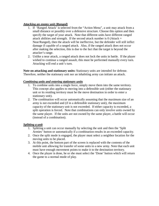## *Attacking an enemy unit (Ranged)*

- 1. If 'Ranged Attack' is selected from the "Action Menu", a unit may attack from a small distance or possibly over a defensive structure. Choose this option and then specify the target of your attack. Note that different units have different ranged attack abilities and strength. If the second attack number is  $0$  (Attack = Near/Ranged), then the attack will be ineffective, but the defender will still inflict damage if capable of a ranged attack. Also, if the ranged attack does not occur after making the selection, this is due to the fact that the target is beyond the attacker's range.
- 2. Unlike a near attack, a ranged attack does not lock the units in battle. If the player wished to continue a ranged assault, this must be performed manually every turn. Attacking will end a unit's turn.

**Note on attacking and stationary units:** Stationary units are intended for defense. Therefore, neither the stationary unit nor an inhabiting army can initiate an attack.

## *Combining units and entering stationary units*

- 1. To combine units into a single force, simply move them into the same territory. This concept also applies to moving into a defensible unit (either the stationary unit or its residing territory must be the move destination in order to enter a stationary unit).
- 2. The combination will occur automatically assuming that the maximum size of an army is not exceeded and (if in a defensible stationary unit), the maximum capacity of the stationary unit is not exceeded. If either capacity is exceeded, a split operation is forced. Note that combinations can only involve units owned by the same player. If the units are not owned by the same player, a battle will occur (instead of a combination).

#### *Splitting a unit*

- 1. Splitting a unit can occur manually by selecting the unit and then the 'Split Armies' button or automatically if a combination results in an exceeded capacity.
- 2. Once the split mode is engaged, the player must select a neighbor location for the moving units to be placed.
- 3. At this point, the bottom part of the screen is replaced with the contents of the mobile unit allowing for transfer of some units to a new army. Note that each unit must have enough movement points to make it to the destination territory.
- 4. Once the player is done, he or she must select the 'Done' button which will return the game to a normal mode of play.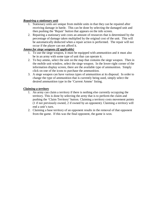## *Repairing a stationary unit*

- 1. Stationary units are unique from mobile units in that they can be repaired after receiving damage in battle. This can be done by selecting the damaged unit and then pushing the 'Repair' button that appears on the info screen.
- 2. Repairing a stationary unit costs an amount of resources that is determined by the percentage of damage taken multiplied by the original cost of the unit. This will be automatically deducted when a repair action is performed. The repair will not occur if the player can not afford it.

# *Ammo for siege weapons (if applicable)*

- 1. To use the siege weapon, it must be equipped with ammunition and it must also be in an army with some type of unit that can operate it.
- 2. To buy ammo, select the unit on the map that contains the siege weapon. Then in the mobile unit window, select the siege weapon. In the lower-right corner of the information display screen, there are the available type of ammunition. Simply click on one of the icons to purchase the ammunition.
- 3. A siege weapon can have various types of ammunition at its disposal. In order to change the type of ammunition that is currently being used, simply select the desired ammunition type in the 'Current Ammo' listing.

## *Claiming a territory*

- 1. An army can claim a territory if there is nothing else currently occupying the territory. This is done by selecting the army that is to perform the claim and pushing the 'Claim Territory' button. Claiming a territory costs movement points (1 if not previously owned, 2 if owned by an opponent). Claiming a territory will end a unit's turn.
- 2. Claiming a base territory of an opponent results in the removal of that opponent from the game. If this was the final opponent, the game is won.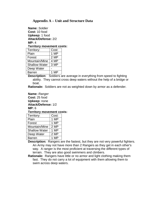# **Appendix A – Unit and Structure Data**

**Name:** Soldier **Cost:** 10 food **Upkeep:** 1 food **Attack/Defense:** 2/2 **MP:** 4 **Territory movement costs:**

| Territory:           | Cost: |
|----------------------|-------|
| Plain                | 1 MP  |
| Forest               | 2 MP  |
| Mountain/Mine        | 4 MP  |
| <b>Shallow Water</b> | 3 MP  |
| Deep Water           |       |
| <b>Barren</b>        | 1 MP  |

**Description:** Soldiers are average in everything from speed to fighting ability. They cannot cross deep waters without the help of a bridge or boat.

**Rationale:** Soldiers are not as weighted down by armor as a defender.

**Name:** Ranger **Cost:** 25 food **Upkeep:** none **Attack/Defense:** 1/2 **MP:** 6

#### **Territory movement costs:**

| Territory:           | Cost: |
|----------------------|-------|
| Plain                | 1 MP  |
| Forest               | 1 MP  |
| Mountain/Mine        | 2 MP  |
| <b>Shallow Water</b> | 1 MP  |
| Deep Water           | 2 MP  |
| <b>Barren</b>        | 1 MP  |

**Description:** Rangers are the fastest, but they are not very powerful fighters. An Army may not have more than 2 Rangers as they get in each other's way. A ranger is the most proficient at traversing the different types of terrain. They are also good swimmers and climbers.

**Rationale:** Rangers have little or no armor and light clothing making them fast. They do not carry a lot of equipment with them allowing them to swim across deep waters.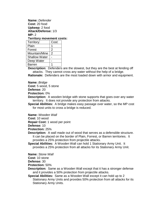**Name:** Defender **Cost:** 20 food **Upkeep:** 2 food **Attack/Defense:** 1/3 **MP:** 2

#### **Territory movement costs:**

| Territory:           | Cost: |
|----------------------|-------|
| Plain                |       |
| Forest               | 2     |
| Mountain/Mine        | 2     |
| <b>Shallow Water</b> |       |
| Deep Water           |       |
| Barren               |       |

**Description:** Defenders are the slowest, but they are the best at fending off attacks. They cannot cross any water without the help of a bridge.

**Rationale:** Defenders are the most loaded down with armor and equipment.

**Name:** Bridge

**Cost:** 5 wood, 5 stone

**Defense:** 20

**Protection:** 0%

**Description:** A wooden bridge with stone supports that goes over any water territory. It does not provide any protection from attacks.

**Special Abilities:** A bridge makes easy passage over water, so the MP cost for most units to cross a bridge is reduced.

**Name:** Wooden Wall

**Cost:** 10 wood

**Repair Cost:** 1 wood per point

**Defense:** 10

**Protection:** 25%

- **Description:** A wall made out of wood that serves as a defensible structure. It can be placed on the border of Plain, Forrest, or Barren territories. It provides a 25% protection from projectile attacks.
- **Special Abilities:** A Wooden Wall can hold 1 Stationary Army Unit. It provides a 25% protection from all attacks for its Stationary Army Unit.

**Name:** Stone Wall

**Cost:** 10 stone

**Defense:** 30

**Protection:** 50%

- **Description:** Same as a Wooden Wall except that it has a stronger defense and it provides a 50% protection from projectile attacks.
- **Special Abilities:** Same as a Wooden Wall except it can hold up to 2 Stationary Army Units and provides 50% protection from all attacks for its Stationary Army Units.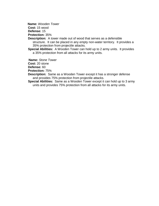**Name:** Wooden Tower

**Cost:** 15 wood

**Defense:** 15

**Protection:** 35%

- **Description:** A tower made out of wood that serves as a defensible structure. It can be placed in any empty non-water territory. It provides a 35% protection from projectile attacks.
- **Special Abilities:** A Wooden Tower can hold up to 2 army units. It provides a 35% protection from all attacks for its army units.

**Name:** Stone Tower

**Cost:** 20 stone

**Defense:** 60

**Protection:** 75%

- **Description:** Same as a Wooden Tower except it has a stronger defense and provides 75% protection from projectile attacks.
- **Special Abilities:** Same as a Wooden Tower except it can hold up to 3 army units and provides 75% protection from all attacks for its army units.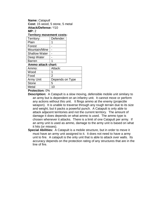**Name:** Catapult **Cost:** 15 wood, 5 stone, 5 metal **Attack/Defense:** \*/10 **MP:** 2

## **Territory movement costs:**

| Territory:           | Defender:       |  |  |  |
|----------------------|-----------------|--|--|--|
| Plain                |                 |  |  |  |
| Forest               |                 |  |  |  |
| Mountain/Mine        |                 |  |  |  |
| <b>Shallow Water</b> |                 |  |  |  |
| Deep Water           |                 |  |  |  |
| <b>Barren</b>        | 1               |  |  |  |
| Ammo attack chart:   |                 |  |  |  |
| Ammo:                | Attack:         |  |  |  |
| Wood                 | 1               |  |  |  |
| Food                 | $\overline{2}$  |  |  |  |
| Army Unit            | Depends on Type |  |  |  |
| <b>Stone</b>         | 5               |  |  |  |
| Metal                |                 |  |  |  |

#### **Protection:** 0%

- **Description:** A Catapult is a slow moving, defensible mobile unit similary to an army but is dependent on an infantry unit. It cannot move or perform any actions without this unit. It flings ammo at the enemy (projectile weapon). It is unable to traverse through any rough terrain due to its size and weight, but it packs a powerful punch. A Catapult is only able to attack adjacent territories and not the current territory. The amount of damage it does depends on what ammo is used. The ammo type is chosen whenever it attacks. There is a limit of one Catapult per army. If an army unit is used as ammo, damage to the army unit is based on what it hits (or misses).
- **Special Abilities:** A Catapult is a mobile structure, but in order to move it must have an army unit assigned to it. It does not need to have a army unit to fire. A catapult is the only unit that is able to attack over walls. Its accuracy depends on the protection rating of any structures that are in the line of fire.